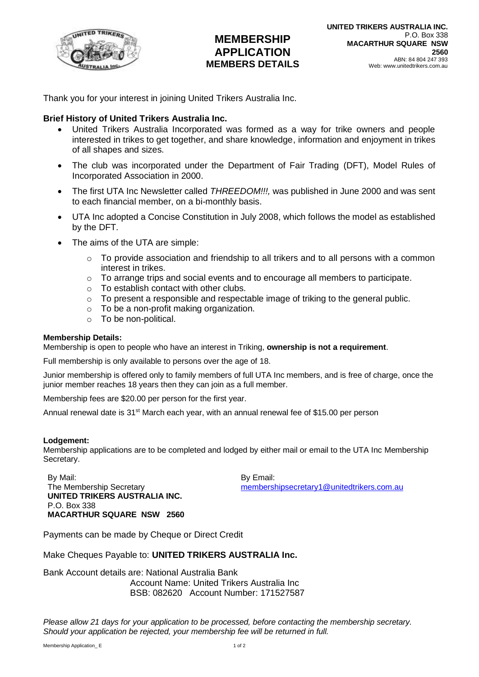

# **MEMBERSHIP APPLICATION MEMBERS DETAILS**

Thank you for your interest in joining United Trikers Australia Inc.

### **Brief History of United Trikers Australia Inc.**

- United Trikers Australia Incorporated was formed as a way for trike owners and people interested in trikes to get together, and share knowledge, information and enjoyment in trikes of all shapes and sizes.
- The club was incorporated under the Department of Fair Trading (DFT), Model Rules of Incorporated Association in 2000.
- The first UTA Inc Newsletter called *THREEDOM!!!,* was published in June 2000 and was sent to each financial member, on a bi-monthly basis.
- UTA Inc adopted a Concise Constitution in July 2008, which follows the model as established by the DFT.
- The aims of the UTA are simple:
	- o To provide association and friendship to all trikers and to all persons with a common interest in trikes.
	- $\circ$  To arrange trips and social events and to encourage all members to participate.
	- o To establish contact with other clubs.
	- $\circ$  To present a responsible and respectable image of triking to the general public.
	- o To be a non-profit making organization.
	- o To be non-political.

#### **Membership Details:**

Membership is open to people who have an interest in Triking, **ownership is not a requirement**.

Full membership is only available to persons over the age of 18.

Junior membership is offered only to family members of full UTA Inc members, and is free of charge, once the junior member reaches 18 years then they can join as a full member.

Membership fees are \$20.00 per person for the first year.

Annual renewal date is 31<sup>st</sup> March each year, with an annual renewal fee of \$15.00 per person

#### **Lodgement:**

Membership applications are to be completed and lodged by either mail or email to the UTA Inc Membership Secretary.

By Mail: The Membership Secretary **UNITED TRIKERS AUSTRALIA INC.** P.O. Box 338 **MACARTHUR SQUARE NSW 2560** By Email: [membershipsecretary1@unitedtrikers.com.au](mailto:membershipsecretary1@unitedtrikers.com.au)

Payments can be made by Cheque or Direct Credit

Make Cheques Payable to: **UNITED TRIKERS AUSTRALIA Inc.**

#### Bank Account details are: National Australia Bank Account Name: United Trikers Australia Inc BSB: 082620 Account Number: 171527587

*Please allow 21 days for your application to be processed, before contacting the membership secretary. Should your application be rejected, your membership fee will be returned in full.*